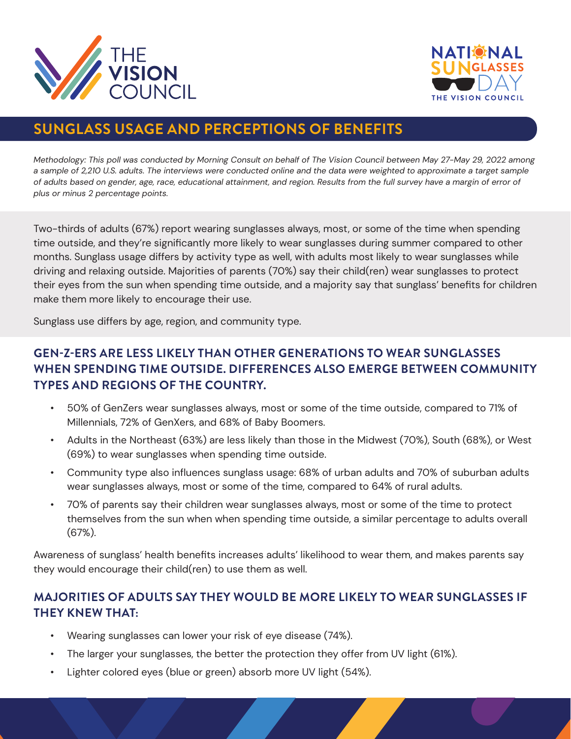



# **SUNGLASS USAGE AND PERCEPTIONS OF BENEFITS**

*Methodology: This poll was conducted by Morning Consult on behalf of The Vision Council between May 27-May 29, 2022 among*  a sample of 2,210 U.S. adults. The interviews were conducted online and the data were weighted to approximate a target sample *of adults based on gender, age, race, educational attainment, and region. Results from the full survey have a margin of error of plus or minus 2 percentage points.*

Two-thirds of adults (67%) report wearing sunglasses always, most, or some of the time when spending time outside, and they're significantly more likely to wear sunglasses during summer compared to other months. Sunglass usage differs by activity type as well, with adults most likely to wear sunglasses while driving and relaxing outside. Majorities of parents (70%) say their child(ren) wear sunglasses to protect their eyes from the sun when spending time outside, and a majority say that sunglass' benefits for children make them more likely to encourage their use.

Sunglass use differs by age, region, and community type.

#### **GEN-Z-ERS ARE LESS LIKELY THAN OTHER GENERATIONS TO WEAR SUNGLASSES WHEN SPENDING TIME OUTSIDE. DIFFERENCES ALSO EMERGE BETWEEN COMMUNITY TYPES AND REGIONS OF THE COUNTRY.**

- 50% of GenZers wear sunglasses always, most or some of the time outside, compared to 71% of Millennials, 72% of GenXers, and 68% of Baby Boomers.
- Adults in the Northeast (63%) are less likely than those in the Midwest (70%), South (68%), or West (69%) to wear sunglasses when spending time outside.
- Community type also influences sunglass usage: 68% of urban adults and 70% of suburban adults wear sunglasses always, most or some of the time, compared to 64% of rural adults.
- 70% of parents say their children wear sunglasses always, most or some of the time to protect themselves from the sun when when spending time outside, a similar percentage to adults overall (67%).

Awareness of sunglass' health benefits increases adults' likelihood to wear them, and makes parents say they would encourage their child(ren) to use them as well.

#### **MAJORITIES OF ADULTS SAY THEY WOULD BE MORE LIKELY TO WEAR SUNGLASSES IF THEY KNEW THAT:**

- Wearing sunglasses can lower your risk of eye disease (74%).
- The larger your sunglasses, the better the protection they offer from UV light (61%).
- Lighter colored eyes (blue or green) absorb more UV light (54%).